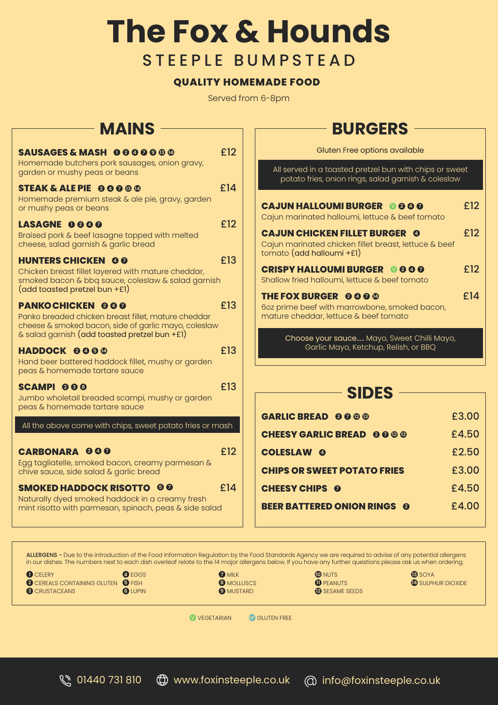# **The Fox & Hounds** STEEPLE BUMPSTEAD

#### **QUALITY HOMEMADE FOOD**

Served from 6-8pm

### **MAINS**

| SAUSAGES & MASH 000000<br>Homemade butchers pork sausages, onion gravy,<br>garden or mushy peas or beans                                                                                | £12 |
|-----------------------------------------------------------------------------------------------------------------------------------------------------------------------------------------|-----|
| <b>STEAK &amp; ALE PIE @ @ @ @</b><br>Homemade premium steak & ale pie, gravy, garden<br>or mushy peas or beans                                                                         | £14 |
| LASAGNE 0000<br>Braised pork & beef lasagne topped with melted<br>cheese, salad garnish & garlic bread                                                                                  | £12 |
| <b>HUNTERS CHICKEN @ 0</b><br>Chicken breast fillet layered with mature cheddar,<br>smoked bacon & bbq sauce, coleslaw & salad garnish<br>(add toasted pretzel bun +£1)                 | £13 |
| <b>PANKOCHICKEN 000</b><br>Panko breaded chicken breast fillet, mature cheddar<br>cheese & smoked bacon, side of garlic mayo, coleslaw<br>& salad garnish (add toasted pretzel bun +£1) | £13 |
| <b>HADDOCK 0000</b><br>Hand beer battered haddock fillet, mushy or garden<br>peas & homemade tartare sauce                                                                              | £13 |
| SCAMPI 000<br>Jumbo wholetail breaded scampi, mushy or garden<br>peas & homemade tartare sauce                                                                                          | £13 |
| All the above come with chips, sweet potato fries or mash                                                                                                                               |     |
| <b>CARBONARA 000</b><br>Egg tagliatelle, smoked bacon, creamy parmesan &<br>chive sauce, side salad & garlic bread                                                                      | £12 |
| <b>SMOKED HADDOCK RISOTTO 00</b><br>Naturally dyed smoked haddock in a creamy fresh<br>mint risotto with parmesan, spinach, peas & side salad                                           | f14 |

## **BURGERS**

| Gluten Free options available                                                                                                |     |
|------------------------------------------------------------------------------------------------------------------------------|-----|
| All served in a toasted pretzel bun with chips or sweet<br>potato fries, onion rings, salad garnish & coleslaw               |     |
| <b>CAJUN HALLOUMI BURGER 0000</b><br>Cajun marinated halloumi, lettuce & beef tomato                                         | £12 |
| <b>CAJUN CHICKEN FILLET BURGER @</b><br>Cajun marinated chicken fillet breast, lettuce & beef<br>$tomato$ (add halloumi +£1) | £12 |
| <b>CRISPY HALLOUMI BURGER 0000</b><br>Shallow fried halloumi, lettuce & beef tomato                                          | £12 |
| <b>THE FOX BURGER @ @ @ @</b><br>6oz prime beef with marrowbone, smoked bacon,<br>mature cheddar, lettuce & beef tomato      | £14 |
| Choose your sauce Mayo, Sweet Chilli Mayo,                                                                                   |     |

### **SIDES**

Garlic Mayo, Ketchup, Relish, or BBQ

| GARLIC BREAD @ @ @ ®               | £3.00 |
|------------------------------------|-------|
| <b>CHEESY GARLIC BREAD 0000</b>    | £4.50 |
| <b>COLESLAW @</b>                  | £2.50 |
| <b>CHIPS OR SWEET POTATO FRIES</b> | £3.00 |
| <b>CHEESY CHIPS 0</b>              | £4.50 |
| <b>BEER BATTERED ONION RINGS @</b> | £4.00 |

**1** CELERY **2** CEREALS CONTAINING GLUTEN **5** FISH **3** CRUSTACEANS **4** EGGS **6** LUPIN **7** MILK **8** MOLLUSCS **9** MUSTARD **10** NUTS **1** PEANUTS **12** SESAME SEEDS **13** SOYA **14** SULPHUR DIOXIDE ALLERGENS - Due to the introduction of the Food Information Regulation by the Food Standards Agency we are required to advise of any potential allergens in our dishes. The numbers next to each dish overleaf relate to the 14 major allergens below. If you have any further questions please ask us when ordering.

**V** VEGETARIAN **GF** GLUTEN FREE